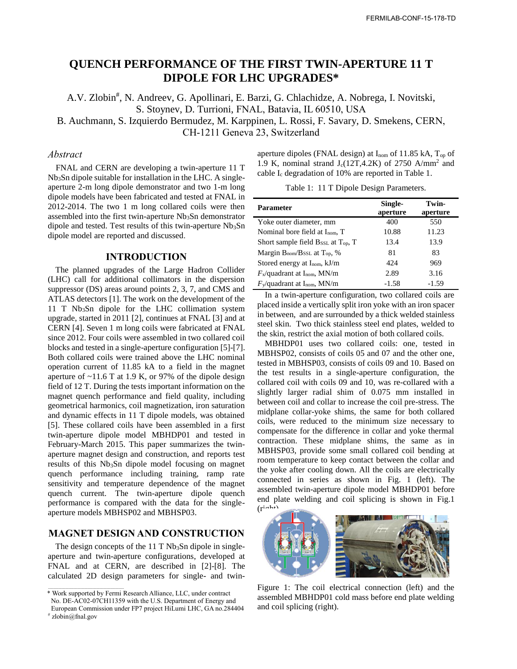# **QUENCH PERFORMANCE OF THE FIRST TWIN-APERTURE 11 T DIPOLE FOR LHC UPGRADES\***

A.V. Zlobin<sup>#</sup>, N. Andreev, G. Apollinari, E. Barzi, G. Chlachidze, A. Nobrega, I. Novitski, S. Stoynev, D. Turrioni, FNAL, Batavia, IL 60510, USA

B. Auchmann, S. Izquierdo Bermudez, M. Karppinen, L. Rossi, F. Savary, D. Smekens, CERN, CH-1211 Geneva 23, Switzerland

## *Abstract*

FNAL and CERN are developing a twin-aperture 11 T Nb3Sn dipole suitable for installation in the LHC. A singleaperture 2-m long dipole demonstrator and two 1-m long dipole models have been fabricated and tested at FNAL in 2012-2014. The two 1 m long collared coils were then assembled into the first twin-aperture  $Nb<sub>3</sub>Sn$  demonstrator  $$ dipole and tested. Test results of this twin-aperture  $Nb<sub>3</sub>Sn$ dipole model are reported and discussed.

### **INTRODUCTION**

The planned upgrades of the Large Hadron Collider (LHC) call for additional collimators in the dispersion suppressor (DS) areas around points 2, 3, 7, and CMS and ATLAS detectors [1]. The work on the development of the 11 T Nb<sub>3</sub>Sn dipole for the LHC collimation system upgrade, started in 2011 [2], continues at FNAL [3] and at CERN [4]. Seven 1 m long coils were fabricated at FNAL since 2012. Four coils were assembled in two collared coil blocks and tested in a single-aperture configuration [5]-[7]. Both collared coils were trained above the LHC nominal operation current of 11.85 kA to a field in the magnet aperture of  $\sim$ 11.6 T at 1.9 K, or 97% of the dipole design field of 12 T. During the tests important information on the magnet quench performance and field quality, including geometrical harmonics, coil magnetization, iron saturation and dynamic effects in 11 T dipole models, was obtained [5]. These collared coils have been assembled in a first twin-aperture dipole model MBHDP01 and tested in February-March 2015. This paper summarizes the twinaperture magnet design and construction, and reports test results of this Nb3Sn dipole model focusing on magnet quench performance including training, ramp rate sensitivity and temperature dependence of the magnet quench current. The twin-aperture dipole quench performance is compared with the data for the singleaperture models MBHSP02 and MBHSP03.

# **MAGNET DESIGN AND CONSTRUCTION**

The design concepts of the 11 T  $Nb<sub>3</sub>Sn$  dipole in singleaperture and twin-aperture configurations, developed at FNAL and at CERN, are described in [2]-[8]. The calculated 2D design parameters for single- and twinaperture dipoles (FNAL design) at  $I_{\text{nom}}$  of 11.85 kA,  $T_{\text{op}}$  of 1.9 K, nominal strand  $J_c(12T, 4.2K)$  of 2750 A/mm<sup>2</sup> and cable Ic degradation of 10% are reported in Table 1.

Table 1: 11 T Dipole Design Parameters.

| <b>Parameter</b>                                                 | Single-<br>aperture | Twin-<br>aperture |
|------------------------------------------------------------------|---------------------|-------------------|
| Yoke outer diameter, mm                                          | 400                 | 550               |
| Nominal bore field at $I_{\text{nom}}$ , T                       | 10.88               | 11.23             |
| Short sample field $\rm B_{SSL}$ at $\rm T_{op}$ , T             | 13.4                | 13.9              |
| Margin B <sub>nom</sub> /B <sub>SSL</sub> at T <sub>op</sub> , % | 81                  | 83                |
| Stored energy at $I_{\text{nom}}$ , $kJ/m$                       | 424                 | 969               |
| $F_{\rm x}$ /quadrant at I <sub>nom</sub> , MN/m                 | 2.89                | 3.16              |
| $F_{\rm V}$ /quadrant at I <sub>nom</sub> , MN/m                 | $-1.58$             | $-1.59$           |

In a twin-aperture configuration, two collared coils are placed inside a vertically split iron yoke with an iron spacer in between, and are surrounded by a thick welded stainless steel skin. Two thick stainless steel end plates, welded to the skin, restrict the axial motion of both collared coils.

MBHDP01 uses two collared coils: one, tested in MBHSP02, consists of coils 05 and 07 and the other one, tested in MBHSP03, consists of coils 09 and 10. Based on the test results in a single-aperture configuration, the collared coil with coils 09 and 10, was re-collared with a slightly larger radial shim of 0.075 mm installed in between coil and collar to increase the coil pre-stress. The midplane collar-yoke shims, the same for both collared coils, were reduced to the minimum size necessary to compensate for the difference in collar and yoke thermal contraction. These midplane shims, the same as in MBHSP03, provide some small collared coil bending at room temperature to keep contact between the collar and the yoke after cooling down. All the coils are electrically connected in series as shown in Fig. 1 (left). The assembled twin-aperture dipole model MBHDP01 before end plate welding and coil splicing is shown in Fig.1  $(r^{\frac{1}{2}})$ 



Figure 1: The coil electrical connection (left) and the assembled MBHDP01 cold mass before end plate welding and coil splicing (right).

<sup>\*</sup> Work supported by Fermi Research Alliance, LLC, under contract No. DE-AC02-07CH11359 with the U.S. Department of Energy and European Commission under FP7 project HiLumi LHC, GA no.284404

<sup>#</sup> zlobin@fnal.gov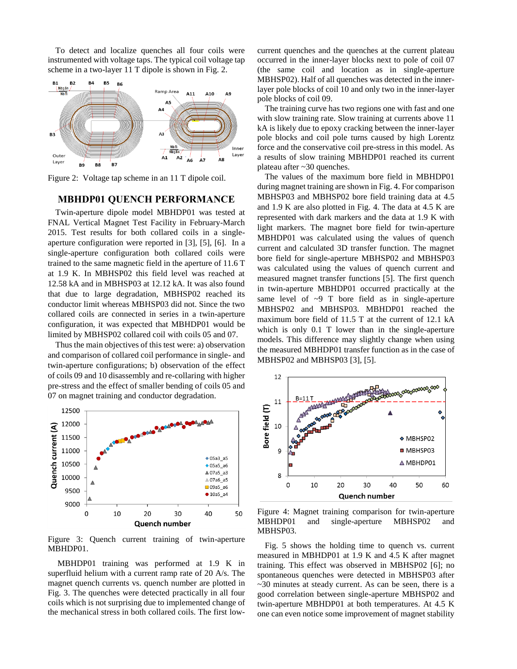To detect and localize quenches all four coils were instrumented with voltage taps. The typical coil voltage tap scheme in a two-layer 11 T dipole is shown in Fig. 2.



Figure 2: Voltage tap scheme in an 11 T dipole coil.

#### **MBHDP01 QUENCH PERFORMANCE**

Twin-aperture dipole model MBHDP01 was tested at FNAL Vertical Magnet Test Facility in February-March 2015. Test results for both collared coils in a singleaperture configuration were reported in [3], [5], [6]. In a single-aperture configuration both collared coils were trained to the same magnetic field in the aperture of 11.6 T at 1.9 K. In MBHSP02 this field level was reached at 12.58 kA and in MBHSP03 at 12.12 kA. It was also found that due to large degradation, MBHSP02 reached its conductor limit whereas MBHSP03 did not. Since the two collared coils are connected in series in a twin-aperture configuration, it was expected that MBHDP01 would be limited by MBHSP02 collared coil with coils 05 and 07.

Thus the main objectives of this test were: a) observation and comparison of collared coil performance in single- and twin-aperture configurations; b) observation of the effect of coils 09 and 10 disassembly and re-collaring with higher pre-stress and the effect of smaller bending of coils 05 and 07 on magnet training and conductor degradation.



Figure 3: Quench current training of twin-aperture MBHDP01.

MBHDP01 training was performed at 1.9 K in superfluid helium with a current ramp rate of 20 A/s. The magnet quench currents vs. quench number are plotted in Fig. 3. The quenches were detected practically in all four coils which is not surprising due to implemented change of the mechanical stress in both collared coils. The first lowcurrent quenches and the quenches at the current plateau occurred in the inner-layer blocks next to pole of coil 07 (the same coil and location as in single-aperture MBHSP02). Half of all quenches was detected in the innerlayer pole blocks of coil 10 and only two in the inner-layer pole blocks of coil 09.

The training curve has two regions one with fast and one with slow training rate. Slow training at currents above 11 kA is likely due to epoxy cracking between the inner-layer pole blocks and coil pole turns caused by high Lorentz force and the conservative coil pre-stress in this model. As a results of slow training MBHDP01 reached its current plateau after ~30 quenches.

The values of the maximum bore field in MBHDP01 during magnet training are shown in Fig. 4. For comparison MBHSP03 and MBHSP02 bore field training data at 4.5 and 1.9 K are also plotted in Fig. 4. The data at 4.5 K are represented with dark markers and the data at 1.9 K with light markers. The magnet bore field for twin-aperture MBHDP01 was calculated using the values of quench current and calculated 3D transfer function. The magnet bore field for single-aperture MBHSP02 and MBHSP03 was calculated using the values of quench current and measured magnet transfer functions [5]. The first quench in twin-aperture MBHDP01 occurred practically at the same level of  $\sim$ 9 T bore field as in single-aperture MBHSP02 and MBHSP03. MBHDP01 reached the maximum bore field of 11.5 T at the current of 12.1 kA which is only 0.1 T lower than in the single-aperture models. This difference may slightly change when using the measured MBHDP01 transfer function as in the case of MBHSP02 and MBHSP03 [3], [5].



Figure 4: Magnet training comparison for twin-aperture MBHDP01 and single-aperture MBHSP02 and MBHSP03.

Fig. 5 shows the holding time to quench vs. current measured in MBHDP01 at 1.9 K and 4.5 K after magnet training. This effect was observed in MBHSP02 [6]; no spontaneous quenches were detected in MBHSP03 after ~30 minutes at steady current. As can be seen, there is a good correlation between single-aperture MBHSP02 and twin-aperture MBHDP01 at both temperatures. At 4.5 K one can even notice some improvement of magnet stability